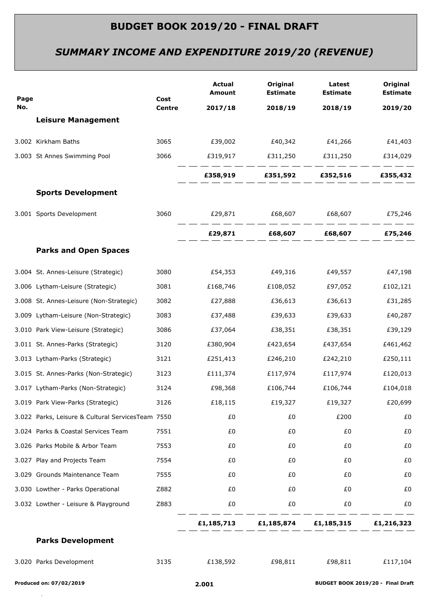# *SUMMARY INCOME AND EXPENDITURE 2019/20 (REVENUE)*

| Page |                                                   | Cost<br><b>Centre</b> | <b>Actual</b><br>Amount | Original<br><b>Estimate</b>               | Latest<br><b>Estimate</b> | Original<br><b>Estimate</b> |
|------|---------------------------------------------------|-----------------------|-------------------------|-------------------------------------------|---------------------------|-----------------------------|
| No.  |                                                   |                       | 2017/18                 | 2018/19                                   | 2018/19                   | 2019/20                     |
|      | <b>Leisure Management</b>                         |                       |                         |                                           |                           |                             |
|      | 3.002 Kirkham Baths                               | 3065                  |                         |                                           |                           | £41,403                     |
|      | 3.003 St Annes Swimming Pool                      | 3066                  |                         | £319,917   £311,250   £311,250            |                           | £314,029                    |
|      |                                                   |                       |                         | £358,919   £351,592   £352,516   £355,432 |                           |                             |
|      | <b>Sports Development</b>                         |                       |                         |                                           |                           |                             |
|      | 3.001 Sports Development                          | 3060                  |                         |                                           |                           |                             |
|      |                                                   |                       |                         |                                           |                           |                             |
|      | <b>Parks and Open Spaces</b>                      |                       |                         |                                           |                           |                             |
|      | 3.004 St. Annes-Leisure (Strategic)               | 3080                  | £54,353                 | £49,316                                   | £49,557                   | £47,198                     |
|      | 3.006 Lytham-Leisure (Strategic)                  | 3081                  | £168,746                | £108,052                                  | £97,052                   | £102,121                    |
|      | 3.008 St. Annes-Leisure (Non-Strategic)           | 3082                  | £27,888                 | £36,613                                   | £36,613                   | £31,285                     |
|      | 3.009 Lytham-Leisure (Non-Strategic)              | 3083                  | £37,488                 | £39,633                                   | £39,633                   | £40,287                     |
|      | 3.010 Park View-Leisure (Strategic)               | 3086                  | £37,064                 | £38,351                                   | £38,351                   | £39,129                     |
|      | 3.011 St. Annes-Parks (Strategic)                 | 3120                  | £380,904                | £423,654                                  | £437,654                  | £461,462                    |
|      | 3.013 Lytham-Parks (Strategic)                    | 3121                  | £251,413                | £246,210                                  | £242,210                  | £250,111                    |
|      | 3.015 St. Annes-Parks (Non-Strategic)             | 3123                  | £111,374                | £117,974                                  | £117,974                  | £120,013                    |
|      | 3.017 Lytham-Parks (Non-Strategic)                | 3124                  | £98,368                 | £106,744                                  | £106,744                  | £104,018                    |
|      | 3.019 Park View-Parks (Strategic)                 | 3126                  | £18,115                 | £19,327                                   | £19,327                   | £20,699                     |
|      | 3.022 Parks, Leisure & Cultural ServicesTeam 7550 |                       | £0                      | £0                                        | £200                      | £0                          |
|      | 3.024 Parks & Coastal Services Team               | 7551                  | £0                      | £0                                        | £0                        | £0                          |
|      | 3.026 Parks Mobile & Arbor Team                   | 7553                  | £0                      | £0                                        | £0                        | £0                          |
|      | 3.027 Play and Projects Team                      | 7554                  | £0                      | £0                                        | £0                        | £0                          |
|      | 3.029 Grounds Maintenance Team                    | 7555                  | £0                      | £0                                        | £0                        | £0                          |
|      | 3.030 Lowther - Parks Operational                 | Z882                  | £0                      | £0                                        | £0                        | £0                          |
|      | 3.032 Lowther - Leisure & Playground              | Z883                  | £0                      | £0                                        | £0                        | £0                          |
|      |                                                   |                       |                         | £1,185,713 £1,185,874 £1,185,315          |                           | £1,216,323                  |
|      | <b>Parks Development</b>                          |                       |                         |                                           |                           |                             |
|      | 3.020 Parks Development                           | 3135                  | £138,592                | £98,811                                   | £98,811                   | £117,104                    |
|      |                                                   |                       |                         |                                           |                           |                             |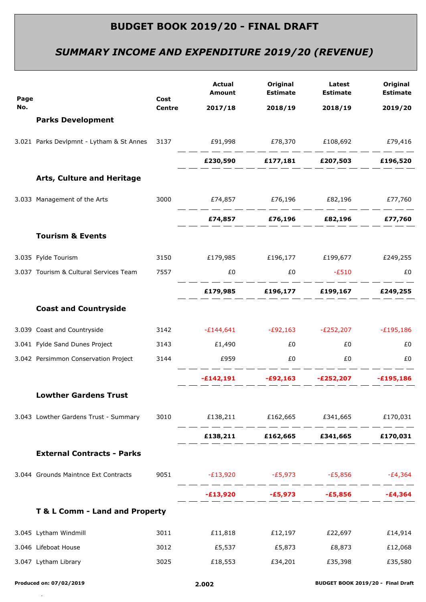# *SUMMARY INCOME AND EXPENDITURE 2019/20 (REVENUE)*

| Page |                                                                                | Cost          | <b>Actual</b><br><b>Amount</b>                  | Original<br><b>Estimate</b>                              | Latest<br><b>Estimate</b> | Original<br><b>Estimate</b> |
|------|--------------------------------------------------------------------------------|---------------|-------------------------------------------------|----------------------------------------------------------|---------------------------|-----------------------------|
| No.  |                                                                                | <b>Centre</b> | 2017/18                                         | 2018/19                                                  | 2018/19                   | 2019/20                     |
|      | <b>Parks Development</b>                                                       |               |                                                 |                                                          |                           |                             |
|      | 3.021 Parks Devlpmnt - Lytham & St Annes 3137 691,998 678,370 6108,692 679,416 |               |                                                 | . __ __ __ __ __ __ __ __ __ __                          |                           |                             |
|      |                                                                                |               |                                                 | £230,590 £177,181 £207,503 £196,520                      |                           |                             |
|      | Arts, Culture and Heritage                                                     |               |                                                 |                                                          |                           |                             |
|      | 3.033 Management of the Arts                                                   |               | 3000   £74,857   £76,196   £82,196   £77,760    |                                                          |                           |                             |
|      |                                                                                |               |                                                 | £74,857   £76,196   £82,196   £77,760                    |                           |                             |
|      | <b>Tourism &amp; Events</b>                                                    |               |                                                 |                                                          |                           |                             |
|      | 3.035 Fylde Tourism                                                            |               | 3150 £179,985 £196,177 £199,677 £249,255        |                                                          |                           |                             |
|      | 3.037 Tourism & Cultural Services Team                                         | 7557          | £0                                              | $£0$ $-£510$                                             |                           | £0                          |
|      |                                                                                |               |                                                 | £179,985 £196,177 £199,167 £249,255                      |                           |                             |
|      | <b>Coast and Countryside</b>                                                   |               |                                                 |                                                          |                           |                             |
|      | 3.039 Coast and Countryside                                                    |               | 3142 - £144,641 - £92,163 - £252,207 - £195,186 |                                                          |                           |                             |
|      | 3.041 Fylde Sand Dunes Project                                                 |               | 3143 £1,490                                     | £0                                                       | £0                        | £0                          |
|      | 3.042 Persimmon Conservation Project                                           | 3144          | £959                                            | EO <sub>1</sub>                                          | £0                        | £0                          |
|      |                                                                                |               |                                                 | ______<br>$-E142,191$ $-E92,163$ $-E252,207$ $-E195,186$ |                           |                             |
|      | <b>Lowther Gardens Trust</b>                                                   |               |                                                 |                                                          |                           |                             |
|      | 3.043 Lowther Gardens Trust - Summary                                          |               | 3010 £138,211 £162,665 £341,665 £170,031        |                                                          |                           |                             |
|      |                                                                                |               |                                                 | £138,211 £162,665 £341,665 £170,031                      |                           |                             |
|      | <b>External Contracts - Parks</b>                                              |               |                                                 |                                                          |                           |                             |
|      | 3.044 Grounds Maintnce Ext Contracts                                           | 9051          | $-E13,920$ $-E5,973$ $-E5,856$ $-E4,364$        |                                                          |                           |                             |
|      |                                                                                |               |                                                 | $-E13,920$ $-E5,973$ $-E5,856$ $-E4,364$                 |                           |                             |
|      | T & L Comm - Land and Property                                                 |               |                                                 |                                                          |                           |                             |
|      | 3.045 Lytham Windmill                                                          | 3011          | $£11,818$ $£12,197$ $£22,697$                   |                                                          |                           | £14,914                     |
|      | 3.046 Lifeboat House                                                           | 3012          |                                                 |                                                          |                           | £12,068                     |
|      | 3.047 Lytham Library                                                           | 3025          | £18,553                                         | £34,201                                                  | £35,398                   | £35,580                     |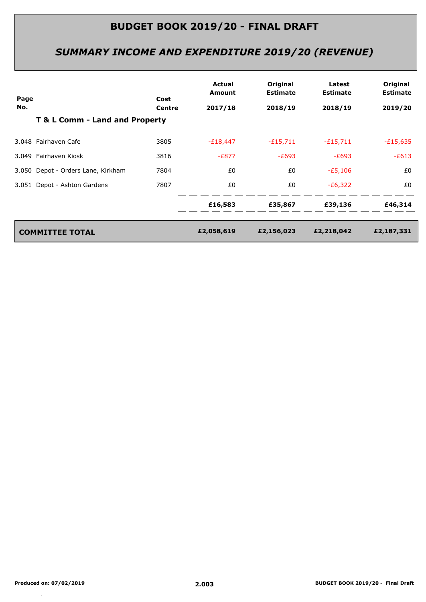# *SUMMARY INCOME AND EXPENDITURE 2019/20 (REVENUE)*

| Page |                                    | Cost   | Actual<br>Amount | Original<br><b>Estimate</b> | Latest<br><b>Estimate</b> | Original<br><b>Estimate</b> |
|------|------------------------------------|--------|------------------|-----------------------------|---------------------------|-----------------------------|
| No.  |                                    | Centre | 2017/18          | 2018/19                     | 2018/19                   | 2019/20                     |
|      | T & L Comm - Land and Property     |        |                  |                             |                           |                             |
|      | 3.048 Fairhaven Cafe               | 3805   | $-E18,447$       | $-£15,711$                  | $-£15,711$                | $-E15,635$                  |
|      | 3.049 Fairhaven Kiosk              | 3816   | $-E877$          | $-E693$                     | $-E693$                   | $-E613$                     |
|      | 3.050 Depot - Orders Lane, Kirkham | 7804   | £0               | £0                          | $-E5,106$                 | £0                          |
|      | 3.051 Depot - Ashton Gardens       | 7807   | £0               | £0                          | $-E6,322$                 | £0                          |
|      |                                    |        | £16,583          | £35,867                     | £39,136                   | £46,314                     |
|      | <b>COMMITTEE TOTAL</b>             |        | £2,058,619       | £2,156,023                  | £2,218,042                | £2,187,331                  |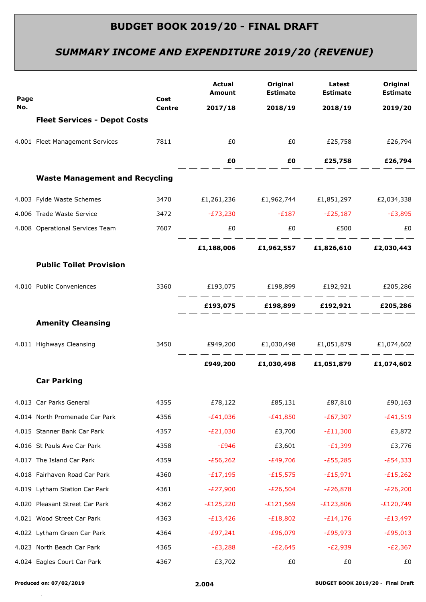# *SUMMARY INCOME AND EXPENDITURE 2019/20 (REVENUE)*

|             |                                       | Cost<br><b>Centre</b> | <b>Actual</b><br><b>Amount</b>                         | Original<br><b>Estimate</b>                                                                                                                                                                                                 | Latest<br><b>Estimate</b> | Original<br><b>Estimate</b> |
|-------------|---------------------------------------|-----------------------|--------------------------------------------------------|-----------------------------------------------------------------------------------------------------------------------------------------------------------------------------------------------------------------------------|---------------------------|-----------------------------|
| Page<br>No. |                                       |                       | 2017/18                                                | 2018/19                                                                                                                                                                                                                     | 2018/19                   | 2019/20                     |
|             | <b>Fleet Services - Depot Costs</b>   |                       |                                                        |                                                                                                                                                                                                                             |                           |                             |
|             | 4.001 Fleet Management Services       |                       | 7811 7811                                              |                                                                                                                                                                                                                             |                           |                             |
|             |                                       |                       |                                                        |                                                                                                                                                                                                                             |                           |                             |
|             | <b>Waste Management and Recycling</b> |                       |                                                        |                                                                                                                                                                                                                             |                           |                             |
|             | 4.003 Fylde Waste Schemes             |                       | 3470 £1,261,236 £1,962,744 £1,851,297 £2,034,338       |                                                                                                                                                                                                                             |                           |                             |
|             | 4.006 Trade Waste Service             |                       | 3472 - £73,230 - £187 - £25,187 - £3,895               |                                                                                                                                                                                                                             |                           |                             |
|             | 4.008 Operational Services Team       | 7607                  |                                                        | $E_0$ and $E_1$ and $E_2$ and $E_3$ and $E_4$ and $E_5$ and $E_6$ and $E_7$ and $E_8$ and $E_9$ and $E_9$ and $E_9$ and $E_9$ and $E_9$ and $E_9$ and $E_9$ and $E_9$ and $E_9$ and $E_9$ and $E_9$ and $E_9$ and $E_9$ and |                           | £0                          |
|             |                                       |                       |                                                        | £1,188,006 £1,962,557 £1,826,610 £2,030,443                                                                                                                                                                                 |                           |                             |
|             | <b>Public Toilet Provision</b>        |                       |                                                        |                                                                                                                                                                                                                             |                           |                             |
|             | 4.010 Public Conveniences             |                       | 3360 £193,075 £198,899 £192,921 £205,286               |                                                                                                                                                                                                                             |                           |                             |
|             |                                       |                       |                                                        | £193,075 £198,899 £192,921 £205,286                                                                                                                                                                                         |                           |                             |
|             | <b>Amenity Cleansing</b>              |                       |                                                        |                                                                                                                                                                                                                             |                           |                             |
|             | 4.011 Highways Cleansing              |                       | 3450   £949,200   £1,030,498   £1,051,879   £1,074,602 |                                                                                                                                                                                                                             |                           |                             |
|             |                                       |                       |                                                        | £949,200 £1,030,498 £1,051,879 £1,074,602                                                                                                                                                                                   |                           |                             |
|             | <b>Car Parking</b>                    |                       |                                                        |                                                                                                                                                                                                                             |                           |                             |
|             | 4.013 Car Parks General               | 4355                  | £78,122                                                | £85,131                                                                                                                                                                                                                     | £87,810                   | £90,163                     |
|             | 4.014 North Promenade Car Park        | 4356                  | $-E41,036$                                             | $-E41,850$                                                                                                                                                                                                                  | $-£67,307$                | $-£41,519$                  |
|             | 4.015 Stanner Bank Car Park           | 4357                  | $-E21,030$                                             | £3,700                                                                                                                                                                                                                      | $-E11,300$                | £3,872                      |
|             | 4.016 St Pauls Ave Car Park           | 4358                  | $-E946$                                                | £3,601                                                                                                                                                                                                                      | $-E1,399$                 | £3,776                      |
|             | 4.017 The Island Car Park             | 4359                  | $-E56,262$                                             | $-E49,706$                                                                                                                                                                                                                  | $-E55,285$                | $-E54,333$                  |
|             | 4.018 Fairhaven Road Car Park         | 4360                  | $-E17,195$                                             | $-E15,575$                                                                                                                                                                                                                  | $-E15,971$                | $-E15,262$                  |
|             | 4.019 Lytham Station Car Park         | 4361                  | $-E27,900$                                             | $-E26,504$                                                                                                                                                                                                                  | $-E26,878$                | $-E26,200$                  |
|             | 4.020 Pleasant Street Car Park        | 4362                  | $-E125,220$                                            | $-E121,569$                                                                                                                                                                                                                 | $-E123,806$               | $-E120,749$                 |
|             | 4.021 Wood Street Car Park            | 4363                  | $-E13,426$                                             | $-E18,802$                                                                                                                                                                                                                  | $-E14,176$                | $-E13,497$                  |
|             | 4.022 Lytham Green Car Park           | 4364                  | $-E97,241$                                             | $-£96,079$                                                                                                                                                                                                                  | $-E95,973$                | $-E95,013$                  |
|             | 4.023 North Beach Car Park            | 4365                  | $-E3,288$                                              | $-E2,645$                                                                                                                                                                                                                   | $-E2,939$                 | $-E2,367$                   |
|             | 4.024 Eagles Court Car Park           | 4367                  | £3,702                                                 | £0                                                                                                                                                                                                                          | £0                        | £0                          |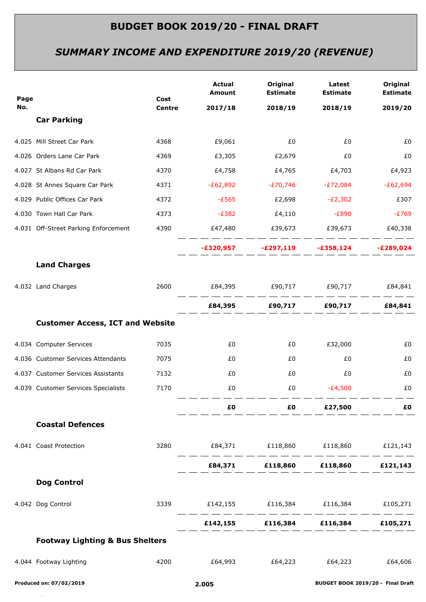# *SUMMARY INCOME AND EXPENDITURE 2019/20 (REVENUE)*

| Page |                                            | Cost          | <b>Actual</b><br>Amount                          | Original<br><b>Estimate</b>                                                                                                                     | Latest<br><b>Estimate</b> | Original<br><b>Estimate</b> |
|------|--------------------------------------------|---------------|--------------------------------------------------|-------------------------------------------------------------------------------------------------------------------------------------------------|---------------------------|-----------------------------|
| No.  | <b>Car Parking</b>                         | <b>Centre</b> | 2017/18                                          | 2018/19                                                                                                                                         | 2018/19                   | 2019/20                     |
|      |                                            |               |                                                  |                                                                                                                                                 |                           |                             |
|      | 4.025 Mill Street Car Park                 | 4368          | £9,061                                           | £0                                                                                                                                              | £0                        | £0                          |
|      | 4.026 Orders Lane Car Park                 | 4369          | £3,305                                           | £2,679                                                                                                                                          | £0                        | £0                          |
|      | 4.027 St Albans Rd Car Park                | 4370          | £4,758                                           | £4,765                                                                                                                                          | £4,703                    | £4,923                      |
|      | 4.028 St Annes Square Car Park             | 4371          | $-E62,892$                                       | $-E70,746$                                                                                                                                      | $-E72,084$                | $-E62,694$                  |
|      | 4.029 Public Offices Car Park              | 4372          | $-E565$                                          | £2,698                                                                                                                                          | $-E2,302$                 | £307                        |
|      | 4.030 Town Hall Car Park                   | 4373          | $-E382$                                          | £4,110                                                                                                                                          | -£890                     | $-E769$                     |
|      | 4.031 Off-Street Parking Enforcement       | 4390          | £47,480                                          | £39,673                                                                                                                                         | £39,673                   | £40,338                     |
|      |                                            |               |                                                  | -£320,957 -£297,119 -£358,124                                                                                                                   |                           | $-E289,024$                 |
|      | <b>Land Charges</b>                        |               |                                                  |                                                                                                                                                 |                           |                             |
|      | 4.032 Land Charges                         | 2600          |                                                  |                                                                                                                                                 |                           |                             |
|      |                                            |               |                                                  |                                                                                                                                                 |                           | £84,841                     |
|      | <b>Customer Access, ICT and Website</b>    |               |                                                  |                                                                                                                                                 |                           |                             |
|      | 4.034 Computer Services                    | 7035          | £0                                               | £0                                                                                                                                              | £32,000                   | £0                          |
|      | 4.036 Customer Services Attendants         | 7075          | £0                                               | £0                                                                                                                                              | £0                        | £0                          |
|      | 4.037 Customer Services Assistants         | 7132          | £0                                               | £0                                                                                                                                              | £0                        | £0                          |
|      | 4.039 Customer Services Specialists        | 7170          | £0                                               | £0                                                                                                                                              | $-E4,500$                 | £0                          |
|      |                                            |               | £0                                               | <b>ED E27,500</b>                                                                                                                               |                           | £Ο                          |
|      | <b>Coastal Defences</b>                    |               |                                                  |                                                                                                                                                 |                           |                             |
|      | 4.041 Coast Protection                     |               | 3280   £84,371   £118,860   £118,860   £121,143  |                                                                                                                                                 |                           |                             |
|      |                                            |               |                                                  | £84,371 £118,860 £118,860 £121,143                                                                                                              |                           |                             |
|      | <b>Dog Control</b>                         |               |                                                  |                                                                                                                                                 |                           |                             |
|      | 4.042 Dog Control                          |               | 3339   £142,155   £116,384   £116,384   £105,271 |                                                                                                                                                 |                           |                             |
|      |                                            |               |                                                  | للمسار المسار المسار المسار المسار المسار المسار المسار المسار المسار المسار المسار المسار المسار المسار<br>£142,155 £116,384 £116,384 £105,271 |                           |                             |
|      | <b>Footway Lighting &amp; Bus Shelters</b> |               |                                                  |                                                                                                                                                 |                           |                             |
|      |                                            |               |                                                  |                                                                                                                                                 |                           |                             |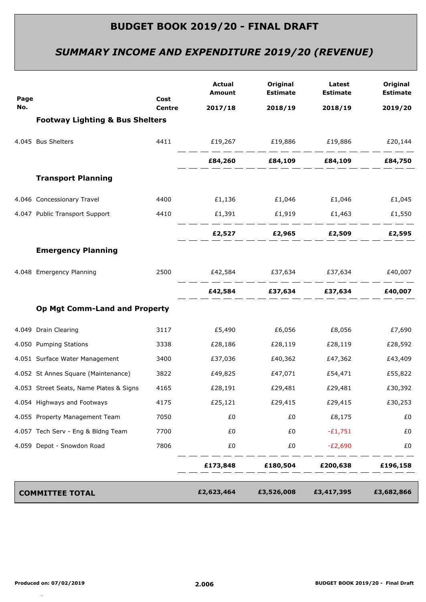# *SUMMARY INCOME AND EXPENDITURE 2019/20 (REVENUE)*

| Page |                                            | Cost          | <b>Actual</b><br>Amount               | Original<br><b>Estimate</b> | Latest<br><b>Estimate</b>         | Original<br><b>Estimate</b> |
|------|--------------------------------------------|---------------|---------------------------------------|-----------------------------|-----------------------------------|-----------------------------|
| No.  |                                            | <b>Centre</b> | 2017/18                               | 2018/19                     | 2018/19                           | 2019/20                     |
|      | <b>Footway Lighting &amp; Bus Shelters</b> |               |                                       |                             |                                   |                             |
|      | 4.045 Bus Shelters                         |               | 4411 E19,267 E19,886 E19,886 E20,144  |                             |                                   |                             |
|      |                                            |               |                                       |                             | £84,260 £84,109 £84,109 £84,750   |                             |
|      | <b>Transport Planning</b>                  |               |                                       |                             |                                   |                             |
|      | 4.046 Concessionary Travel                 | 4400          |                                       |                             | £1,136 $£1,046$ $£1,046$ $£1,045$ |                             |
|      | 4.047 Public Transport Support             | 4410          |                                       | $£1,391$ $£1,919$           |                                   | £1,463 £1,550               |
|      |                                            |               |                                       | £2,527 £2,965 £2,509        |                                   | £2,595                      |
|      | <b>Emergency Planning</b>                  |               |                                       |                             |                                   |                             |
|      | 4.048 Emergency Planning                   | 2500          | £42,584   £37,634   £37,634   £40,007 |                             |                                   |                             |
|      |                                            |               |                                       |                             | £42,584 £37,634 £37,634 £40,007   |                             |
|      | <b>Op Mgt Comm-Land and Property</b>       |               |                                       |                             |                                   |                             |
|      | 4.049 Drain Clearing                       | 3117          | £5,490                                | £6,056                      | £8,056                            | £7,690                      |
|      | 4.050 Pumping Stations                     | 3338          | £28,186                               | £28,119                     | £28,119                           | £28,592                     |
|      | 4.051 Surface Water Management             | 3400          | £37,036                               | £40,362                     | £47,362                           | £43,409                     |
|      | 4.052 St Annes Square (Maintenance)        | 3822          | £49,825                               | £47,071                     | £54,471                           | £55,822                     |
|      | 4.053 Street Seats, Name Plates & Signs    | 4165          | £28,191                               | £29,481                     | £29,481                           | £30,392                     |
|      | 4.054 Highways and Footways                | 4175          | £25,121                               | £29,415                     | £29,415                           | £30,253                     |
|      | 4.055 Property Management Team             | 7050          | £0                                    | £0                          | £8,175                            | £0                          |
|      | 4.057 Tech Serv - Eng & Bldng Team         | 7700          | £0                                    | £0                          | $-E1,751$                         | £0                          |
|      | 4.059 Depot - Snowdon Road                 | 7806          | £0                                    | £0                          | $-E2,690$                         | £0                          |
|      |                                            |               | £173,848                              | £180,504                    | £200,638                          | £196,158                    |
|      | <b>COMMITTEE TOTAL</b>                     |               | £2,623,464                            | £3,526,008                  | £3,417,395                        | £3,682,866                  |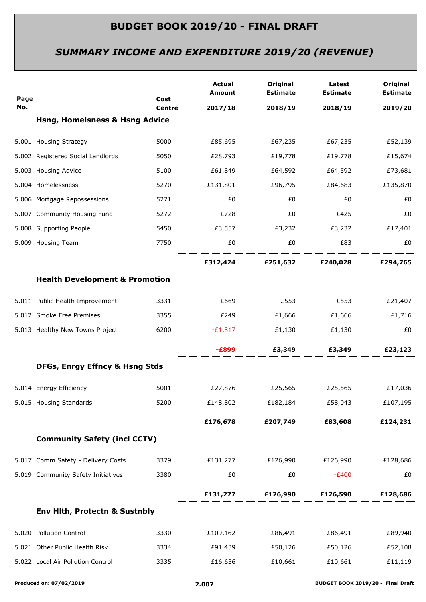# *SUMMARY INCOME AND EXPENDITURE 2019/20 (REVENUE)*

| Page |                                           | Cost          | <b>Actual</b><br>Amount                  | Original<br><b>Estimate</b>                                                                                                                                                                                                                                                 | Latest<br><b>Estimate</b> | Original<br><b>Estimate</b> |
|------|-------------------------------------------|---------------|------------------------------------------|-----------------------------------------------------------------------------------------------------------------------------------------------------------------------------------------------------------------------------------------------------------------------------|---------------------------|-----------------------------|
| No.  |                                           | <b>Centre</b> | 2017/18                                  | 2018/19                                                                                                                                                                                                                                                                     | 2018/19                   | 2019/20                     |
|      | <b>Hsng, Homelsness &amp; Hsng Advice</b> |               |                                          |                                                                                                                                                                                                                                                                             |                           |                             |
|      | 5.001 Housing Strategy                    | 5000          | £85,695                                  | £67,235                                                                                                                                                                                                                                                                     | £67,235                   | £52,139                     |
|      | 5.002 Registered Social Landlords         | 5050          | £28,793                                  | £19,778                                                                                                                                                                                                                                                                     | £19,778                   | £15,674                     |
|      | 5.003 Housing Advice                      | 5100          | £61,849                                  | £64,592                                                                                                                                                                                                                                                                     | £64,592                   | £73,681                     |
|      | 5.004 Homelessness                        | 5270          | £131,801                                 | £96,795                                                                                                                                                                                                                                                                     | £84,683                   | £135,870                    |
|      | 5.006 Mortgage Repossessions              | 5271          | £0                                       | £0                                                                                                                                                                                                                                                                          | £0                        | £0                          |
|      | 5.007 Community Housing Fund              | 5272          | £728                                     | £0                                                                                                                                                                                                                                                                          | £425                      | £0                          |
|      | 5.008 Supporting People                   | 5450          |                                          | £3,557 £3,232                                                                                                                                                                                                                                                               | £3,232 £17,401            |                             |
|      | 5.009 Housing Team                        | 7750          | £0                                       | £0                                                                                                                                                                                                                                                                          | £83                       | £0                          |
|      |                                           |               |                                          | <u> 1990 - 1991 - 1992 - 1992 - 1992 - 1992 - 1992 - 1992 - 1993 - 1994 - 1994 - 1994 - 1994 - 1994 - 1994 - 1994 - 1994 - 1994 - 1994 - 1994 - 1994 - 1994 - 1994 - 1994 - 1994 - 1994 - 1994 - 1994 - 1994 - 1994 - 1994 - 199</u><br>£312,424 £251,632 £240,028 £294,765 |                           |                             |
|      | <b>Health Development &amp; Promotion</b> |               |                                          |                                                                                                                                                                                                                                                                             |                           |                             |
|      | 5.011 Public Health Improvement           | 3331          | £669                                     | £553                                                                                                                                                                                                                                                                        | £553                      | £21,407                     |
|      | 5.012 Smoke Free Premises                 | 3355          | £249                                     | £1,666                                                                                                                                                                                                                                                                      | £1,666                    | £1,716                      |
|      | 5.013 Healthy New Towns Project           | 6200          | $-E1,817$ $E1,130$                       |                                                                                                                                                                                                                                                                             | £1,130                    | £0                          |
|      |                                           |               |                                          | $-£899$ $£3,349$ $£3,349$ $£23,123$                                                                                                                                                                                                                                         |                           |                             |
|      | DFGs, Enrgy Effncy & Hsng Stds            |               |                                          |                                                                                                                                                                                                                                                                             |                           |                             |
|      | 5.014 Energy Efficiency                   | 5001          |                                          | £27,876 £25,565                                                                                                                                                                                                                                                             | £25,565                   | £17,036                     |
|      | 5.015 Housing Standards                   | 5200          | £148,802                                 | £182,184                                                                                                                                                                                                                                                                    | £58,043                   | £107,195                    |
|      |                                           |               |                                          | £176,678 £207,749 £83,608 £124,231                                                                                                                                                                                                                                          |                           |                             |
|      | <b>Community Safety (incl CCTV)</b>       |               |                                          |                                                                                                                                                                                                                                                                             |                           |                             |
|      | 5.017 Comm Safety - Delivery Costs        |               | 3379 £131,277 £126,990 £126,990 £128,686 |                                                                                                                                                                                                                                                                             |                           |                             |
|      | 5.019 Community Safety Initiatives        | 3380          | £0                                       | £0                                                                                                                                                                                                                                                                          | $-E400$                   | £0                          |
|      |                                           |               |                                          | £131,277 £126,990 £126,590 £128,686                                                                                                                                                                                                                                         |                           |                             |
|      | Env Hith, Protectn & Sustnbly             |               |                                          |                                                                                                                                                                                                                                                                             |                           |                             |
|      | 5.020 Pollution Control                   | 3330          | £109,162                                 |                                                                                                                                                                                                                                                                             | £86,491 £86,491           | £89,940                     |
|      | 5.021 Other Public Health Risk            | 3334          | £91,439                                  |                                                                                                                                                                                                                                                                             | £50,126 £50,126           | £52,108                     |
|      | 5.022 Local Air Pollution Control         | 3335          | £16,636                                  | £10,661                                                                                                                                                                                                                                                                     | £10,661                   | £11,119                     |
|      |                                           |               |                                          |                                                                                                                                                                                                                                                                             |                           |                             |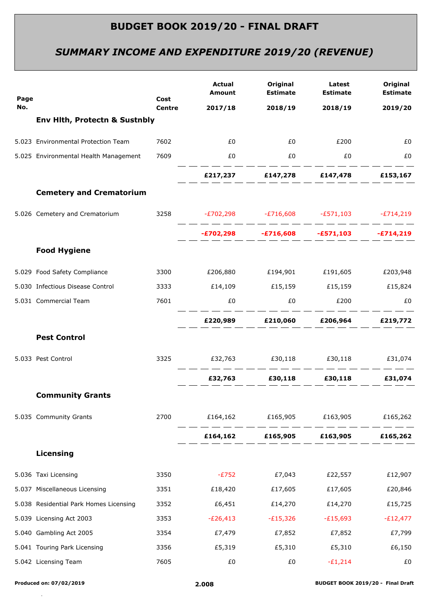# *SUMMARY INCOME AND EXPENDITURE 2019/20 (REVENUE)*

| Page |                                          | Cost<br><b>Centre</b> | <b>Actual</b><br>Amount                          | Original<br><b>Estimate</b>                                                                                                                          | Latest<br><b>Estimate</b> | Original<br><b>Estimate</b> |
|------|------------------------------------------|-----------------------|--------------------------------------------------|------------------------------------------------------------------------------------------------------------------------------------------------------|---------------------------|-----------------------------|
| No.  |                                          |                       | 2017/18                                          | 2018/19                                                                                                                                              | 2018/19                   | 2019/20                     |
|      | <b>Env Hith, Protectn &amp; Sustnbly</b> |                       |                                                  |                                                                                                                                                      |                           |                             |
|      | 5.023 Environmental Protection Team      | 7602                  | £0                                               | EO                                                                                                                                                   | £200                      | £0                          |
|      | 5.025 Environmental Health Management    | 7609                  | £0                                               | EO <sub>1</sub>                                                                                                                                      | £0                        | £0                          |
|      |                                          |                       |                                                  | £217,237 £147,278 £147,478 £153,167                                                                                                                  |                           |                             |
|      | <b>Cemetery and Crematorium</b>          |                       |                                                  |                                                                                                                                                      |                           |                             |
|      | 5.026 Cemetery and Crematorium           |                       | 3258 - £702,298 - £716,608 - £571,103 - £714,219 |                                                                                                                                                      |                           |                             |
|      |                                          |                       |                                                  | المسار المسار المسار المسار المسار المسار المسار المسار المسار المسار المسار المسار المسار المسار المسارا<br>-£702,298 -£716,608 -£571,103 -£714,219 |                           |                             |
|      | <b>Food Hygiene</b>                      |                       |                                                  |                                                                                                                                                      |                           |                             |
|      | 5.029 Food Safety Compliance             | 3300                  |                                                  | £206,880 £194,901 £191,605                                                                                                                           |                           | £203,948                    |
|      | 5.030 Infectious Disease Control         | 3333                  | £14,109   £15,159   £15,159   £15,824            |                                                                                                                                                      |                           |                             |
|      | 5.031 Commercial Team                    | 7601                  | £0                                               | £0                                                                                                                                                   | £200                      | £0                          |
|      |                                          |                       |                                                  | __ __ __ __ __ __ __ __ __<br>£220,989 £210,060 £206,964 £219,772                                                                                    |                           |                             |
|      | <b>Pest Control</b>                      |                       |                                                  |                                                                                                                                                      |                           |                             |
|      | 5.033 Pest Control                       |                       | 3325    £32,763    £30,118    £30,118    £31,074 |                                                                                                                                                      |                           |                             |
|      |                                          |                       |                                                  | £32,763 £30,118 £30,118 £31,074                                                                                                                      |                           |                             |
|      | <b>Community Grants</b>                  |                       |                                                  |                                                                                                                                                      |                           |                             |
|      | 5.035 Community Grants                   | 2700                  |                                                  | £164,162   £165,905   £163,905                                                                                                                       |                           | £165,262                    |
|      |                                          |                       |                                                  | £164,162 £165,905 £163,905 £165,262                                                                                                                  |                           |                             |
|      | Licensing                                |                       |                                                  |                                                                                                                                                      |                           |                             |
|      | 5.036 Taxi Licensing                     | 3350                  | $-E752$                                          | £7,043                                                                                                                                               | £22,557                   | £12,907                     |
|      | 5.037 Miscellaneous Licensing            | 3351                  | £18,420                                          | £17,605                                                                                                                                              | £17,605                   | £20,846                     |
|      | 5.038 Residential Park Homes Licensing   | 3352                  | £6,451                                           | £14,270                                                                                                                                              | £14,270                   | £15,725                     |
|      | 5.039 Licensing Act 2003                 | 3353                  | $-E26,413$                                       | $-E15,326$                                                                                                                                           | $-E15,693$                | $-E12,477$                  |
|      | 5.040 Gambling Act 2005                  | 3354                  | £7,479                                           | £7,852                                                                                                                                               | £7,852                    | £7,799                      |
|      | 5.041 Touring Park Licensing             | 3356                  | £5,319                                           | £5,310                                                                                                                                               | £5,310                    | £6,150                      |
|      | 5.042 Licensing Team                     | 7605                  | £0                                               | £0                                                                                                                                                   | $-E1,214$                 | £0                          |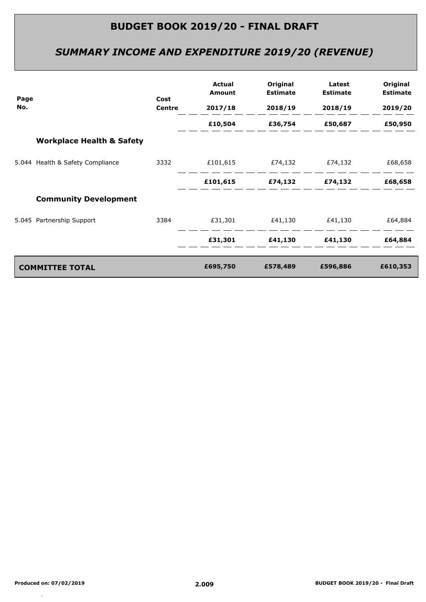# *SUMMARY INCOME AND EXPENDITURE 2019/20 (REVENUE)*

|             |                                      |                | Actual<br>Amount                      | Original<br><b>Estimate</b> | Latest<br><b>Estimate</b> | Original<br><b>Estimate</b> |
|-------------|--------------------------------------|----------------|---------------------------------------|-----------------------------|---------------------------|-----------------------------|
| Page<br>No. |                                      | Cost<br>Centre | 2017/18                               | 2018/19                     | 2018/19                   | 2019/20                     |
|             |                                      |                | £10,504                               |                             | £36,754 £50,687           | £50,950                     |
|             | <b>Workplace Health &amp; Safety</b> |                |                                       |                             |                           |                             |
|             | 5.044 Health & Safety Compliance     | 3332           |                                       |                             |                           | £68,658                     |
|             |                                      |                | £101,615                              |                             | £74,132 £74,132           | £68,658                     |
|             | <b>Community Development</b>         |                |                                       |                             |                           |                             |
|             | 5.045 Partnership Support            |                | 3384    £31,301    £41,130    £41,130 |                             |                           | £64,884                     |
|             |                                      |                | £31,301                               |                             | £41,130 £41,130           | £64,884                     |
|             | <b>COMMITTEE TOTAL</b>               |                | £695,750                              | £578,489                    | £596,886                  | £610,353                    |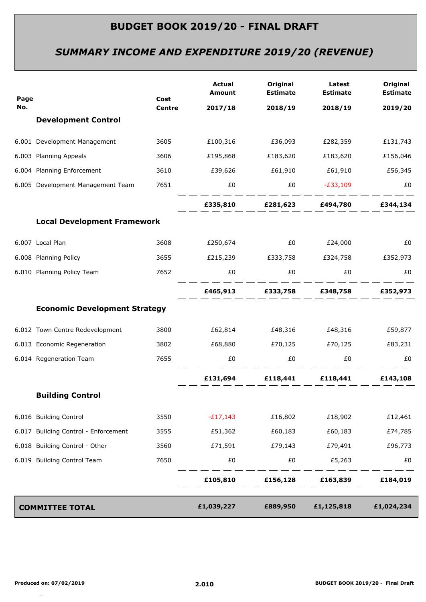# *SUMMARY INCOME AND EXPENDITURE 2019/20 (REVENUE)*

| Page |                                      | Cost<br><b>Centre</b> | <b>Actual</b><br><b>Amount</b> | Original<br><b>Estimate</b> | Latest<br><b>Estimate</b>                 | Original<br><b>Estimate</b> |
|------|--------------------------------------|-----------------------|--------------------------------|-----------------------------|-------------------------------------------|-----------------------------|
| No.  |                                      |                       | 2017/18                        | 2018/19                     | 2018/19                                   | 2019/20                     |
|      | <b>Development Control</b>           |                       |                                |                             |                                           |                             |
|      | 6.001 Development Management         | 3605                  |                                | £100,316 £36,093            | £282,359                                  | £131,743                    |
|      | 6.003 Planning Appeals               | 3606                  | £195,868                       | £183,620                    | £183,620                                  | £156,046                    |
|      | 6.004 Planning Enforcement           | 3610                  |                                |                             |                                           |                             |
|      | 6.005 Development Management Team    | 7651                  | £0                             |                             | $£0$ $-£33,109$                           | £0                          |
|      |                                      |                       |                                |                             | £335,810 £281,623 £494,780 £344,134       |                             |
|      | <b>Local Development Framework</b>   |                       |                                |                             |                                           |                             |
|      | 6.007 Local Plan                     | 3608                  | £250,674                       |                             | £0      £24,000                           | £0                          |
|      | 6.008 Planning Policy                | 3655                  |                                |                             | £215,239   £333,758   £324,758   £352,973 |                             |
|      | 6.010 Planning Policy Team           | 7652                  | £0                             | £0                          | $E_0$                                     | £0                          |
|      |                                      |                       |                                |                             | £465,913 £333,758 £348,758 £352,973       |                             |
|      | <b>Economic Development Strategy</b> |                       |                                |                             |                                           |                             |
|      | 6.012 Town Centre Redevelopment      | 3800                  |                                |                             |                                           | £59,877                     |
|      | 6.013 Economic Regeneration          | 3802                  | £68,880                        |                             |                                           | £83,231                     |
|      | 6.014 Regeneration Team              | 7655                  | £0                             | £0                          | £0                                        | £0                          |
|      |                                      |                       |                                |                             | £131,694 £118,441 £118,441 £143,108       |                             |
|      | <b>Building Control</b>              |                       |                                |                             |                                           |                             |
|      | 6.016 Building Control               | 3550                  | $-E17,143$                     | £16,802                     | £18,902                                   | £12,461                     |
|      | 6.017 Building Control - Enforcement | 3555                  | £51,362                        | £60,183                     | £60,183                                   | £74,785                     |
|      | 6.018 Building Control - Other       | 3560                  | £71,591                        | £79,143                     | £79,491                                   | £96,773                     |
|      | 6.019 Building Control Team          | 7650                  | £0                             | £0                          | £5,263                                    | £0                          |
|      |                                      |                       | £105,810                       | £156,128                    | £163,839                                  | £184,019                    |
|      | <b>COMMITTEE TOTAL</b>               |                       | £1,039,227                     | £889,950                    | £1,125,818                                | £1,024,234                  |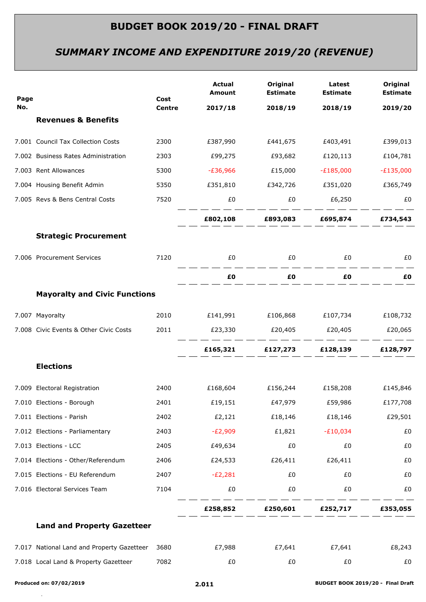# *SUMMARY INCOME AND EXPENDITURE 2019/20 (REVENUE)*

| Page |                                            | Cost          | <b>Actual</b><br><b>Amount</b>        | Original<br><b>Estimate</b> | Latest<br><b>Estimate</b>                 | Original<br><b>Estimate</b> |
|------|--------------------------------------------|---------------|---------------------------------------|-----------------------------|-------------------------------------------|-----------------------------|
| No.  |                                            | <b>Centre</b> | 2017/18                               | 2018/19                     | 2018/19                                   | 2019/20                     |
|      | <b>Revenues &amp; Benefits</b>             |               |                                       |                             |                                           |                             |
|      | 7.001 Council Tax Collection Costs         | 2300          |                                       |                             | £387,990    £441,675    £403,491          | £399,013                    |
|      | 7.002 Business Rates Administration        | 2303          | £99,275                               | £93,682                     | £120,113                                  | £104,781                    |
|      | 7.003 Rent Allowances                      | 5300          | -£36,966                              | £15,000                     | $-E185,000$                               | $-E135,000$                 |
|      | 7.004 Housing Benefit Admin                | 5350          |                                       |                             | £351,810   £342,726   £351,020   £365,749 |                             |
|      | 7.005 Revs & Bens Central Costs            | 7520          | £0                                    | £0                          | £6,250                                    | £0                          |
|      |                                            |               |                                       |                             | £802,108 £893,083 £695,874 £734,543       |                             |
|      | <b>Strategic Procurement</b>               |               |                                       |                             |                                           |                             |
|      | 7.006 Procurement Services                 | 7120          | £0                                    | £0                          | £0                                        | £0                          |
|      |                                            |               | £Ο                                    | £Ο                          | £0                                        | £Ο                          |
|      | <b>Mayoralty and Civic Functions</b>       |               |                                       |                             |                                           |                             |
|      | 7.007 Mayoralty                            |               |                                       |                             |                                           | £108,732                    |
|      | 7.008 Civic Events & Other Civic Costs     | 2011          | £23,330 $£20,405$ $£20,405$ $£20,065$ |                             |                                           |                             |
|      |                                            |               |                                       |                             | £165,321 £127,273 £128,139 £128,797       |                             |
|      | <b>Elections</b>                           |               |                                       |                             |                                           |                             |
|      | 7.009 Electoral Registration               | 2400          |                                       | £168,604 £156,244 £158,208  |                                           | £145,846                    |
|      | 7.010 Elections - Borough                  | 2401          | £19,151                               | £47,979                     | £59,986                                   | £177,708                    |
|      | 7.011 Elections - Parish                   | 2402          | £2,121                                | £18,146                     | £18,146                                   | £29,501                     |
|      | 7.012 Elections - Parliamentary            | 2403          | $-E2,909$                             | £1,821                      | $-E10,034$                                | £0                          |
|      | 7.013 Elections - LCC                      | 2405          | £49,634                               | £0                          | £0                                        | £0                          |
|      | 7.014 Elections - Other/Referendum         | 2406          | £24,533                               | £26,411                     | £26,411                                   | £0                          |
|      | 7.015 Elections - EU Referendum            | 2407          | $-E2,281$                             | £0                          | £0                                        | £0                          |
|      | 7.016 Electoral Services Team              | 7104          | £0                                    | £0                          | £0                                        | £0                          |
|      |                                            |               | £258,852                              | £250,601                    | £252,717                                  | £353,055                    |
|      | <b>Land and Property Gazetteer</b>         |               |                                       |                             |                                           |                             |
|      | 7.017 National Land and Property Gazetteer | 3680          | £7,988                                | £7,641                      | £7,641                                    | £8,243                      |
|      | 7.018 Local Land & Property Gazetteer      | 7082          | £0                                    | £0                          | £0                                        | £0                          |
|      |                                            |               |                                       |                             |                                           |                             |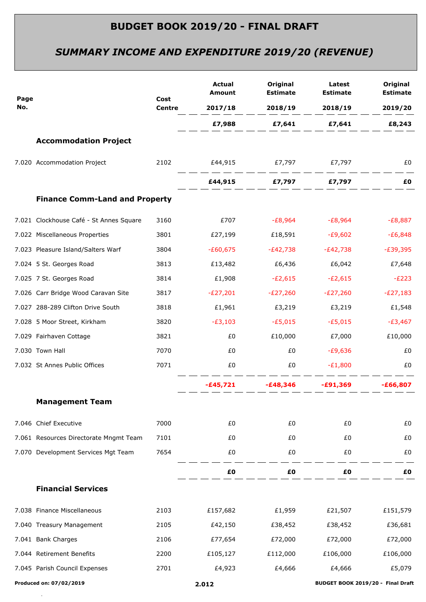# *SUMMARY INCOME AND EXPENDITURE 2019/20 (REVENUE)*

|             |                                         | Cost<br><b>Centre</b> | <b>Actual</b><br>Amount | Original<br><b>Estimate</b>                                                                                                                                                                                                    | Latest<br><b>Estimate</b>                   | Original<br><b>Estimate</b> |
|-------------|-----------------------------------------|-----------------------|-------------------------|--------------------------------------------------------------------------------------------------------------------------------------------------------------------------------------------------------------------------------|---------------------------------------------|-----------------------------|
| Page<br>No. |                                         |                       |                         |                                                                                                                                                                                                                                | 2017/18 2018/19 2018/19                     | 2019/20                     |
|             |                                         |                       |                         |                                                                                                                                                                                                                                | E7,988 E7,641 E7,641 E8,243                 |                             |
|             | <b>Accommodation Project</b>            |                       |                         |                                                                                                                                                                                                                                |                                             |                             |
|             | 7.020 Accommodation Project             |                       |                         |                                                                                                                                                                                                                                |                                             | £0                          |
|             |                                         |                       |                         |                                                                                                                                                                                                                                |                                             | £Ο                          |
|             | <b>Finance Comm-Land and Property</b>   |                       |                         |                                                                                                                                                                                                                                |                                             |                             |
|             | 7.021 Clockhouse Café - St Annes Square | 3160                  | £707                    |                                                                                                                                                                                                                                | -£8,964 -£8,964                             | $-E8,887$                   |
|             | 7.022 Miscellaneous Properties          | 3801                  | £27,199                 | £18,591                                                                                                                                                                                                                        | $-E9,602$                                   | $-£6,848$                   |
|             | 7.023 Pleasure Island/Salters Warf      | 3804                  | -£60,675                | -£42,738                                                                                                                                                                                                                       | -£42,738                                    | $-E39,395$                  |
|             | 7.024 5 St. Georges Road                | 3813                  | £13,482                 | £6,436                                                                                                                                                                                                                         | £6,042                                      | £7,648                      |
|             | 7.025 7 St. Georges Road                | 3814                  | £1,908                  | $-E2,615$                                                                                                                                                                                                                      | $-E2,615$                                   | $-E223$                     |
|             | 7.026 Carr Bridge Wood Caravan Site     | 3817                  | $-E27,201$              | $-E27,260$                                                                                                                                                                                                                     | $-E27,260$                                  | $-E27,183$                  |
|             | 7.027 288-289 Clifton Drive South       | 3818                  | £1,961                  | £3,219                                                                                                                                                                                                                         | £3,219                                      | £1,548                      |
|             | 7.028 5 Moor Street, Kirkham            | 3820                  | $-E3,103$               | $-E5,015$                                                                                                                                                                                                                      | $-£5,015$                                   | -£3,467                     |
|             | 7.029 Fairhaven Cottage                 | 3821                  | £0                      | £10,000                                                                                                                                                                                                                        | £7,000                                      | £10,000                     |
|             | 7.030 Town Hall                         | 7070                  | £0                      | £0                                                                                                                                                                                                                             | -£9,636                                     | £0                          |
|             | 7.032 St Annes Public Offices           | 7071                  | £0                      | £0 and the state of the state of the state of the state of the state of the state of the state of the state of the state of the state of the state of the state of the state of the state of the state of the state of the sta | $-E1,800$                                   | £0                          |
|             |                                         |                       |                         |                                                                                                                                                                                                                                | $-E45,721$ $-E48,346$ $-E91,369$ $-E66,807$ |                             |
|             | <b>Management Team</b>                  |                       |                         |                                                                                                                                                                                                                                |                                             |                             |
|             | 7.046 Chief Executive                   | 7000                  | £0                      | £0                                                                                                                                                                                                                             | £0                                          | £0                          |
|             | 7.061 Resources Directorate Mngmt Team  | 7101                  | £0                      | £0                                                                                                                                                                                                                             | £0                                          | £0                          |
|             | 7.070 Development Services Mgt Team     | 7654                  | £0                      | £0                                                                                                                                                                                                                             | £0                                          | £0                          |
|             |                                         |                       | £0                      | £0                                                                                                                                                                                                                             | £0                                          | £Ο                          |
|             | <b>Financial Services</b>               |                       |                         |                                                                                                                                                                                                                                |                                             |                             |
|             | 7.038 Finance Miscellaneous             | 2103                  | £157,682                | £1,959                                                                                                                                                                                                                         | £21,507                                     | £151,579                    |
|             | 7.040 Treasury Management               | 2105                  | £42,150                 | £38,452                                                                                                                                                                                                                        | £38,452                                     | £36,681                     |
|             | 7.041 Bank Charges                      | 2106                  | £77,654                 | £72,000                                                                                                                                                                                                                        | £72,000                                     | £72,000                     |
|             | 7.044 Retirement Benefits               | 2200                  | £105,127                | £112,000                                                                                                                                                                                                                       | £106,000                                    | £106,000                    |
|             | 7.045 Parish Council Expenses           | 2701                  | £4,923                  | £4,666                                                                                                                                                                                                                         | £4,666                                      | £5,079                      |
|             | Produced on: 07/02/2019                 |                       | 2.012                   |                                                                                                                                                                                                                                | BUDGET BOOK 2019/20 - Final Draft           |                             |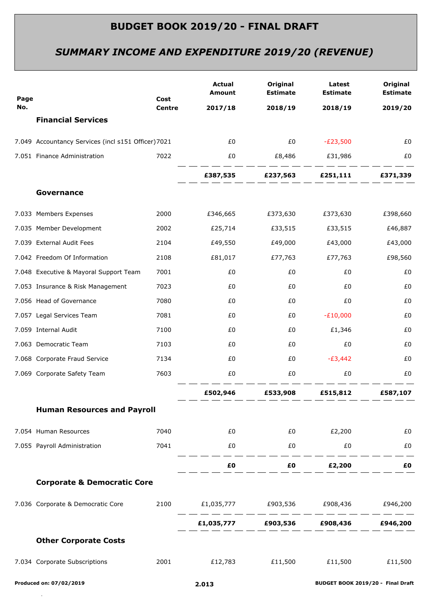# *SUMMARY INCOME AND EXPENDITURE 2019/20 (REVENUE)*

| Page |                                                     | Cost<br><b>Centre</b> | <b>Actual</b><br>Amount                    | Original<br><b>Estimate</b>                                                                                                                                                                                                    | Latest<br><b>Estimate</b> | Original<br><b>Estimate</b> |
|------|-----------------------------------------------------|-----------------------|--------------------------------------------|--------------------------------------------------------------------------------------------------------------------------------------------------------------------------------------------------------------------------------|---------------------------|-----------------------------|
| No.  |                                                     |                       | 2017/18                                    | 2018/19                                                                                                                                                                                                                        | 2018/19                   | 2019/20                     |
|      | <b>Financial Services</b>                           |                       |                                            |                                                                                                                                                                                                                                |                           |                             |
|      | 7.049 Accountancy Services (incl s151 Officer) 7021 |                       | £0                                         | £0                                                                                                                                                                                                                             | $-E23,500$                | £0                          |
|      | 7.051 Finance Administration                        | 7022                  | £0                                         | £8,486                                                                                                                                                                                                                         | £31,986                   | £0                          |
|      |                                                     |                       |                                            | £387,535 £237,563 £251,111                                                                                                                                                                                                     |                           | £371,339                    |
|      | Governance                                          |                       |                                            |                                                                                                                                                                                                                                |                           |                             |
|      | 7.033 Members Expenses                              | 2000                  | £346,665                                   | £373,630                                                                                                                                                                                                                       | £373,630                  | £398,660                    |
|      | 7.035 Member Development                            | 2002                  | £25,714                                    | £33,515                                                                                                                                                                                                                        | £33,515                   | £46,887                     |
|      | 7.039 External Audit Fees                           | 2104                  | £49,550                                    | £49,000                                                                                                                                                                                                                        | £43,000                   | £43,000                     |
|      | 7.042 Freedom Of Information                        | 2108                  | £81,017                                    | £77,763                                                                                                                                                                                                                        | £77,763                   | £98,560                     |
|      | 7.048 Executive & Mayoral Support Team              | 7001                  | £0                                         | £0                                                                                                                                                                                                                             | £0                        | £0                          |
|      | 7.053 Insurance & Risk Management                   | 7023                  | £0                                         | £0                                                                                                                                                                                                                             | £0                        | £0                          |
|      | 7.056 Head of Governance                            | 7080                  | £0                                         | £0                                                                                                                                                                                                                             | £0                        | £0                          |
|      | 7.057 Legal Services Team                           | 7081                  | £0                                         | £0                                                                                                                                                                                                                             | $-E10,000$                | £0                          |
|      | 7.059 Internal Audit                                | 7100                  | £0                                         | £0                                                                                                                                                                                                                             | £1,346                    | £0                          |
|      | 7.063 Democratic Team                               | 7103                  | £0                                         | £0                                                                                                                                                                                                                             | £0                        | £0                          |
|      | 7.068 Corporate Fraud Service                       | 7134                  | £0                                         | £0                                                                                                                                                                                                                             | $-E3,442$                 | £0                          |
|      | 7.069 Corporate Safety Team                         | 7603                  | £0                                         | £0                                                                                                                                                                                                                             | £0                        | £0                          |
|      |                                                     |                       | £502,946                                   | £533,908                                                                                                                                                                                                                       | £515,812                  | £587,107                    |
|      | <b>Human Resources and Payroll</b>                  |                       |                                            |                                                                                                                                                                                                                                |                           |                             |
|      | 7.054 Human Resources                               | 7040                  | £0                                         | £0 and the state of the state of the state of the state of the state of the state of the state of the state of the state of the state of the state of the state of the state of the state of the state of the state of the sta | £2,200                    | £0                          |
|      | 7.055 Payroll Administration                        | 7041                  | £0                                         | £0                                                                                                                                                                                                                             | £0                        | £0                          |
|      |                                                     |                       |                                            | $E0$ $E0$ $E2,200$                                                                                                                                                                                                             |                           | £0                          |
|      | <b>Corporate &amp; Democratic Core</b>              |                       |                                            |                                                                                                                                                                                                                                |                           |                             |
|      | 7.036 Corporate & Democratic Core                   |                       | 2100 £1,035,777 £903,536 £908,436 £946,200 |                                                                                                                                                                                                                                |                           |                             |
|      |                                                     |                       |                                            | £1,035,777    £903,536    £908,436    £946,200                                                                                                                                                                                 |                           |                             |
|      | <b>Other Corporate Costs</b>                        |                       |                                            |                                                                                                                                                                                                                                |                           |                             |
|      | 7.034 Corporate Subscriptions                       | 2001                  |                                            | £12,783    £11,500    £11,500                                                                                                                                                                                                  |                           | £11,500                     |
|      |                                                     |                       |                                            |                                                                                                                                                                                                                                |                           |                             |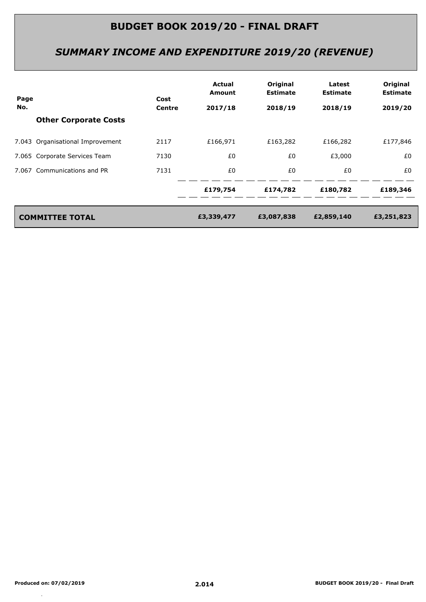# *SUMMARY INCOME AND EXPENDITURE 2019/20 (REVENUE)*

| Page | Cost<br>Centre                   |         | Actual<br><b>Amount</b> | Original<br><b>Estimate</b> | Latest<br><b>Estimate</b> | Original<br><b>Estimate</b> |
|------|----------------------------------|---------|-------------------------|-----------------------------|---------------------------|-----------------------------|
| No.  |                                  | 2017/18 | 2018/19                 | 2018/19                     | 2019/20                   |                             |
|      | <b>Other Corporate Costs</b>     |         |                         |                             |                           |                             |
|      | 7.043 Organisational Improvement | 2117    | £166,971                | £163,282                    | £166,282                  | £177,846                    |
|      | 7.065 Corporate Services Team    | 7130    | £0                      | £0                          | £3,000                    | £0                          |
|      | 7.067 Communications and PR      | 7131    | £0                      | £0                          | £0                        | £0                          |
|      |                                  |         | £179,754                | £174,782                    | £180,782                  | £189,346                    |
|      | <b>COMMITTEE TOTAL</b>           |         | £3,339,477              | £3,087,838                  | £2,859,140                | £3,251,823                  |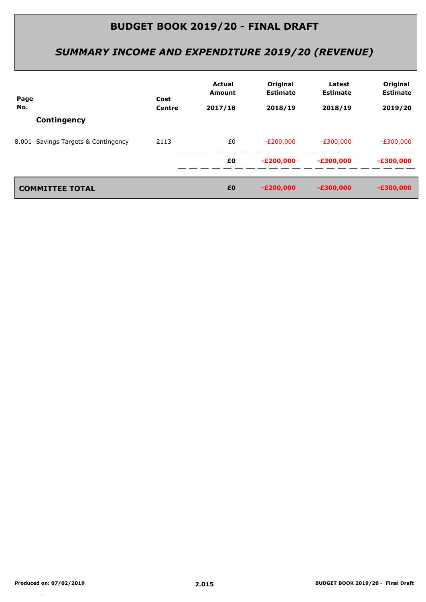# *SUMMARY INCOME AND EXPENDITURE 2019/20 (REVENUE)*

| Page |                                     | Cost | Actual<br><b>Amount</b> | Original<br><b>Estimate</b> | Latest<br><b>Estimate</b> | Original<br><b>Estimate</b> |
|------|-------------------------------------|------|-------------------------|-----------------------------|---------------------------|-----------------------------|
| No.  | Centre                              |      | 2017/18                 | 2018/19                     | 2018/19                   | 2019/20                     |
|      | Contingency                         |      |                         |                             |                           |                             |
|      | 8.001 Savings Targets & Contingency | 2113 | £0                      | $-E200,000$                 | $-E300,000$               | $-E300,000$                 |
|      |                                     |      | £0                      | $-E200,000$                 | $-£300,000$               | $-£300,000$                 |
|      |                                     |      |                         |                             |                           |                             |
|      | <b>COMMITTEE TOTAL</b>              |      | £0                      | $-E200,000$                 | $-£300,000$               | $-£300,000$                 |